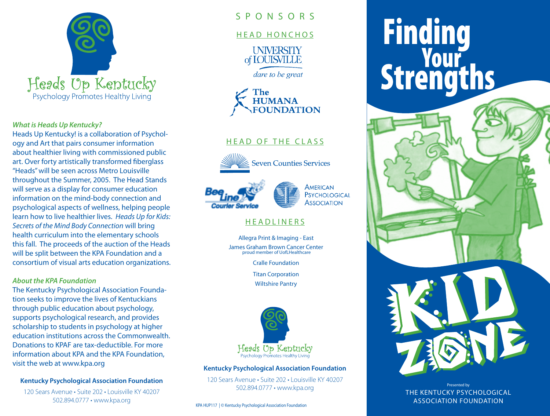

#### *What is Heads Up Kentucky?*

Heads Up Kentucky! is a collaboration of Psychology and Art that pairs consumer information about healthier living with commissioned public art. Over forty artistically transformed fiberglass "Heads" will be seen across Metro Louisville throughout the Summer, 2005. The Head Stands will serve as a display for consumer education information on the mind-body connection and psychological aspects of wellness, helping people learn how to live healthier lives. *Heads Up for Kids: Secrets of the Mind Body Connection* will bring health curriculum into the elementary schools this fall. The proceeds of the auction of the Heads will be split between the KPA Foundation and a consortium of visual arts education organizations.

### *About the KPA Foundation*

The Kentucky Psychological Association Foundation seeks to improve the lives of Kentuckians through public education about psychology, supports psychological research, and provides scholarship to students in psychology at higher education institutions across the Commonwealth. Donations to KPAF are tax-deductible. For more information about KPA and the KPA Foundation, visit the web at www.kpa.org

### **Kentucky Psychological Association Foundation**

120 Sears Avenue • Suite 202 • Louisville KY 40207 502.894.0777 • www.kpa.org

## S P O N S O R S

## HEAD HONCHOS



dare to be great



# HEAD OF THE CLASS



**Seven Counties Services** 





# **HEADLINERS**

Allegra Print & Imaging - East James Graham Brown Cancer Center proud member of UofLHealthcare

Cralle Foundation

Titan Corporation

Wiltshire Pantry



### **Kentucky Psychological Association Foundation**

120 Sears Avenue • Suite 202 • Louisville KY 40207 502.894.0777 • www.kpa.org

KPA HUP117 | © Kentucky Psychological Association Foundation

# **Finding<br>Your<br>Strengths**



Presented by THE KENTUCKY PSYCHOLOGICAL ASSOCIATION FOUNDATION